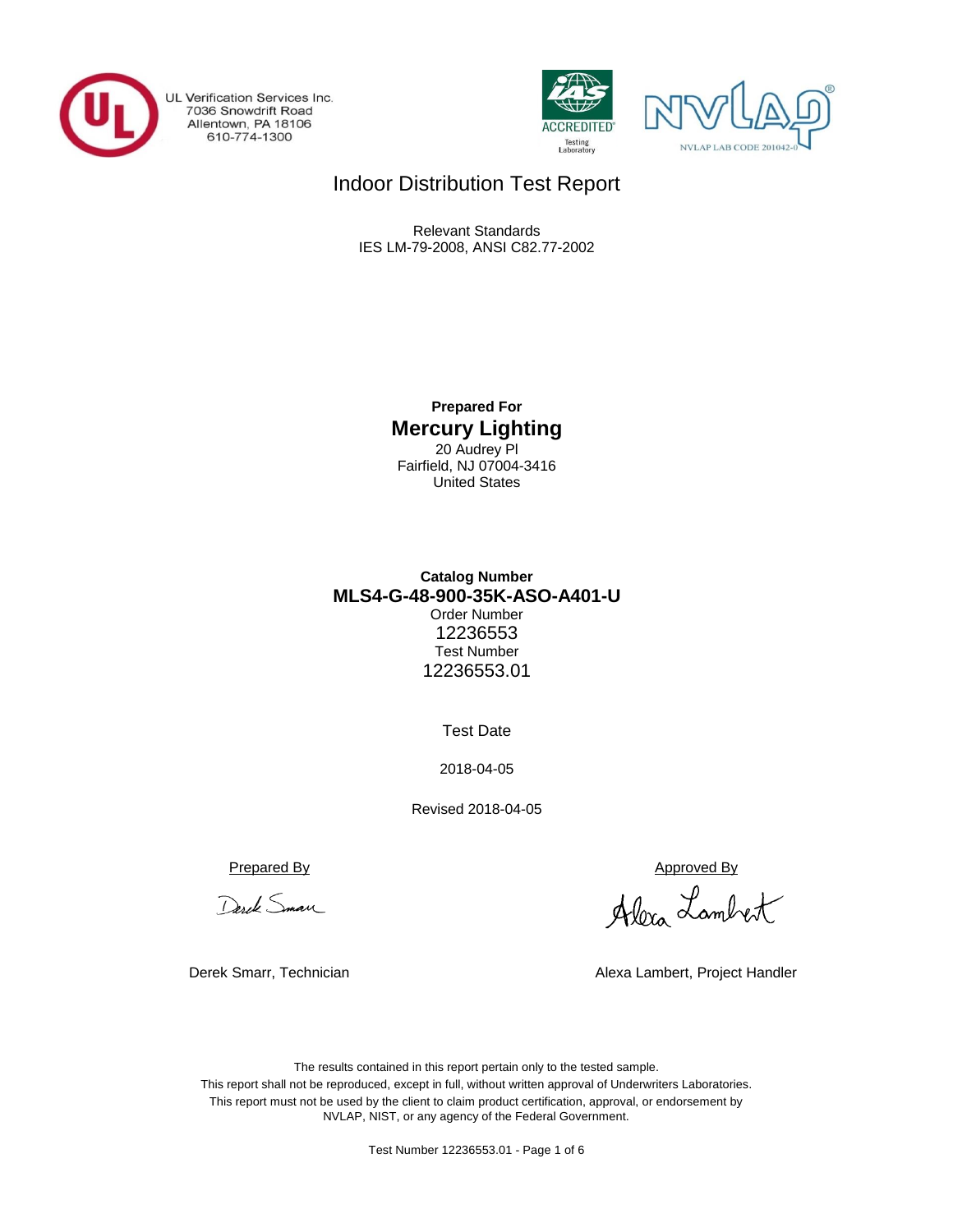

UL Verification Services Inc. 7036 Snowdrift Road<br>Allentown, PA 18106<br>610-774-1300





## Indoor Distribution Test Report

Relevant Standards IES LM-79-2008, ANSI C82.77-2002

> **Prepared For Mercury Lighting** 20 Audrey Pl Fairfield, NJ 07004-3416 United States

## **Catalog Number** Order Number 12236553 Test Number 12236553.01 **MLS4-G-48-900-35K-ASO-A401-U**

Test Date

2018-04-05

Revised 2018-04-05

Prepared By Approved By

Desch Smare

Alexa Lambert

Derek Smarr, Technician Alexa Lambert, Project Handler

The results contained in this report pertain only to the tested sample. This report shall not be reproduced, except in full, without written approval of Underwriters Laboratories. This report must not be used by the client to claim product certification, approval, or endorsement by NVLAP, NIST, or any agency of the Federal Government.

Test Number 12236553.01 - Page 1 of 6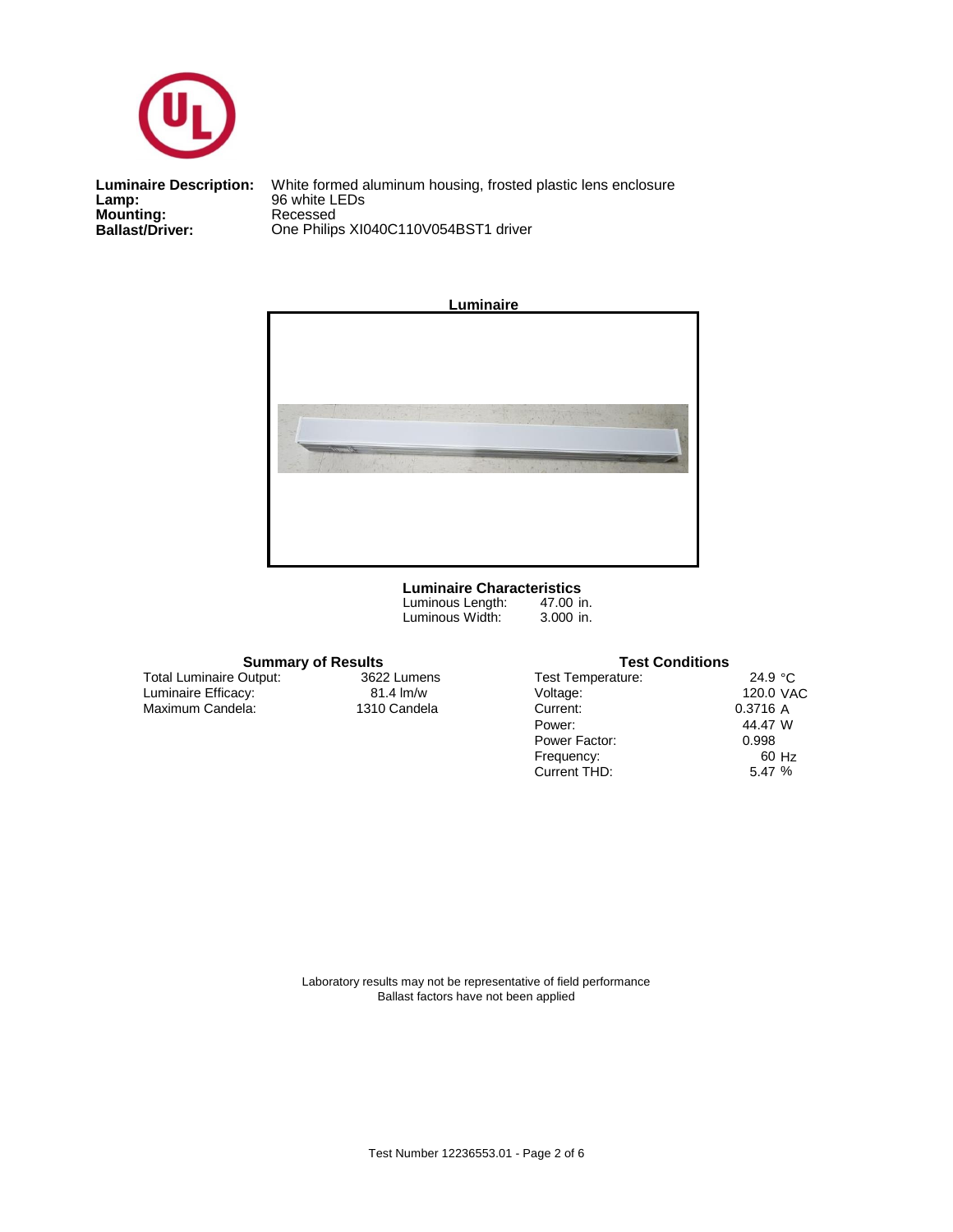

**Lamp:**<br>Mounting:<br>Ballast/Driver: **Luminaire Description:**<br>Lamp: White formed aluminum housing, frosted plastic lens enclosure<br>96 white LEDs **Ballast/Driver:** One Philips XI040C110V054BST1 driver



47.00 in. 3.000 in.  **Luminaire Characteristics** Luminous Length: Luminous Width:

#### **Summary of Results Test Conditions**

Maximum Candela: 1310 Candela Luminaire Efficacy: Total Luminaire Output:

3622 Lumens<br>81.4 lm/w

| <b>Test Temperature:</b> | 24.9 $\degree$ C |       |
|--------------------------|------------------|-------|
| Voltage:                 | 120.0 VAC        |       |
| Current:                 | 0.3716 A         |       |
| Power:                   | 44.47 W          |       |
| Power Factor:            | 0.998            |       |
| Frequency:               |                  | 60 Hz |
| Current THD:             | 5.47%            |       |
|                          |                  |       |

Laboratory results may not be representative of field performance Ballast factors have not been applied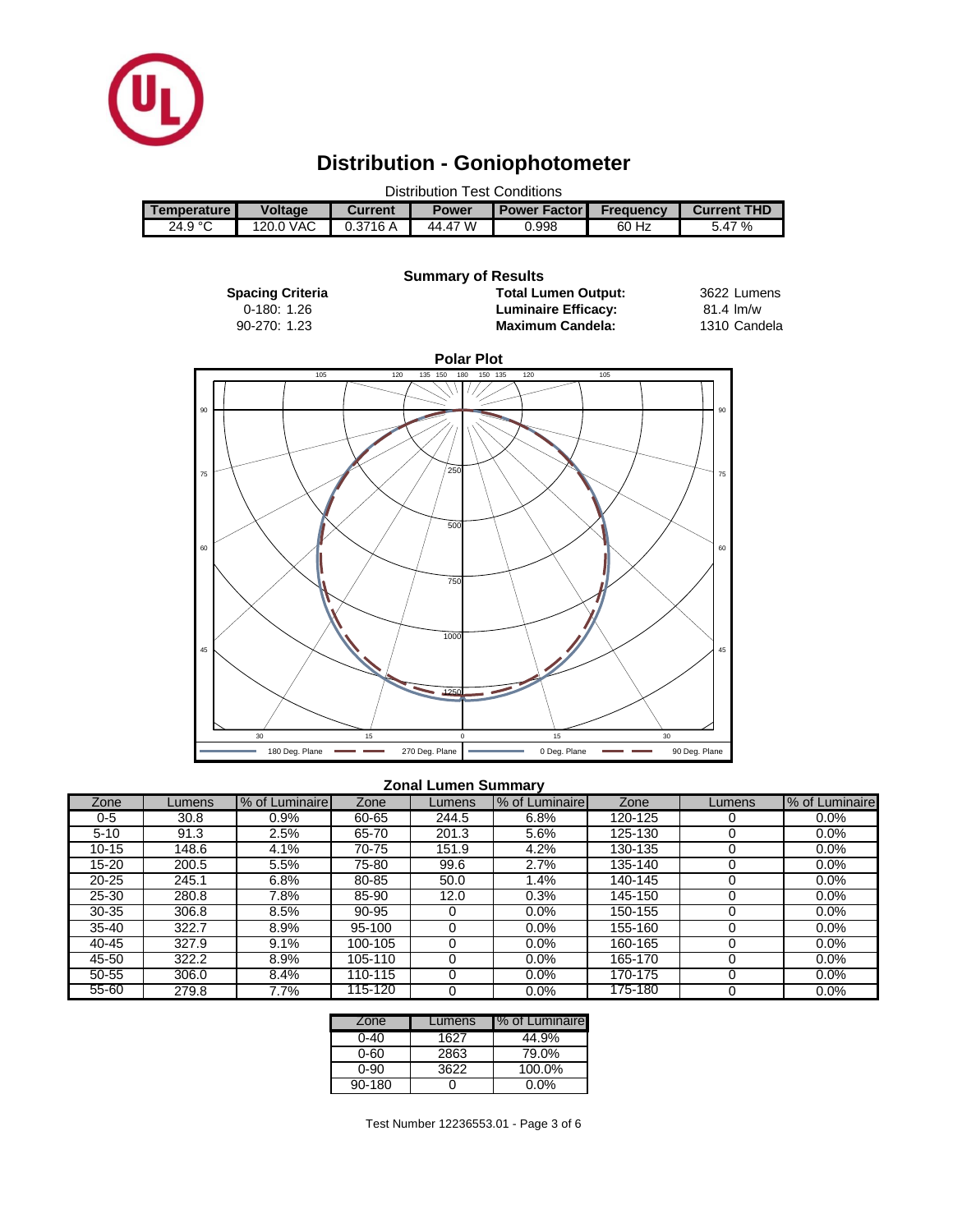

# **Distribution - Goniophotometer**

| Distribution Test Conditions |                |                |              |                       |           |                    |  |  |  |
|------------------------------|----------------|----------------|--------------|-----------------------|-----------|--------------------|--|--|--|
| Temperature I                | <b>Voltage</b> | <b>Current</b> | <b>Power</b> | <b>Power Factor I</b> | Frequency | <b>Current THD</b> |  |  |  |
| 24.9 $^{\circ}$ C            | 120.0 VAC      | 0.3716 A       | 44.47 W      | 0.998                 | 60 Hz     | 5.47 %             |  |  |  |



#### **Zonal Lumen Summary**

| Zone      | Lumens | % of Luminaire | Zone    | Lumens | % of Luminaire | Zone    | Lumens | % of Luminaire |
|-----------|--------|----------------|---------|--------|----------------|---------|--------|----------------|
| 0-5       | 30.8   | 0.9%           | 60-65   | 244.5  | 6.8%           | 120-125 |        | 0.0%           |
| $5 - 10$  | 91.3   | 2.5%           | 65-70   | 201.3  | 5.6%           | 125-130 |        | 0.0%           |
| $10 - 15$ | 148.6  | 4.1%           | 70-75   | 151.9  | 4.2%           | 130-135 |        | 0.0%           |
| 15-20     | 200.5  | 5.5%           | 75-80   | 99.6   | 2.7%           | 135-140 |        | 0.0%           |
| $20 - 25$ | 245.1  | 6.8%           | 80-85   | 50.0   | .4%            | 140-145 |        | 0.0%           |
| 25-30     | 280.8  | 7.8%           | 85-90   | 12.0   | 0.3%           | 145-150 |        | 0.0%           |
| $30 - 35$ | 306.8  | 8.5%           | 90-95   |        | 0.0%           | 150-155 |        | 0.0%           |
| $35 - 40$ | 322.7  | 8.9%           | 95-100  |        | 0.0%           | 155-160 |        | 0.0%           |
| 40-45     | 327.9  | 9.1%           | 100-105 |        | 0.0%           | 160-165 |        | 0.0%           |
| 45-50     | 322.2  | 8.9%           | 105-110 |        | 0.0%           | 165-170 |        | 0.0%           |
| 50-55     | 306.0  | 8.4%           | 110-115 |        | $0.0\%$        | 170-175 |        | 0.0%           |
| 55-60     | 279.8  | 7.7%           | 115-120 |        | 0.0%           | 175-180 |        | 0.0%           |

| Zone   | Lumens | % of Luminaire |
|--------|--------|----------------|
| 0-40   | 1627   | 44.9%          |
| 0-60   | 2863   | 79.0%          |
| 0-90   | 3622   | 100.0%         |
| 90-180 |        | $0.0\%$        |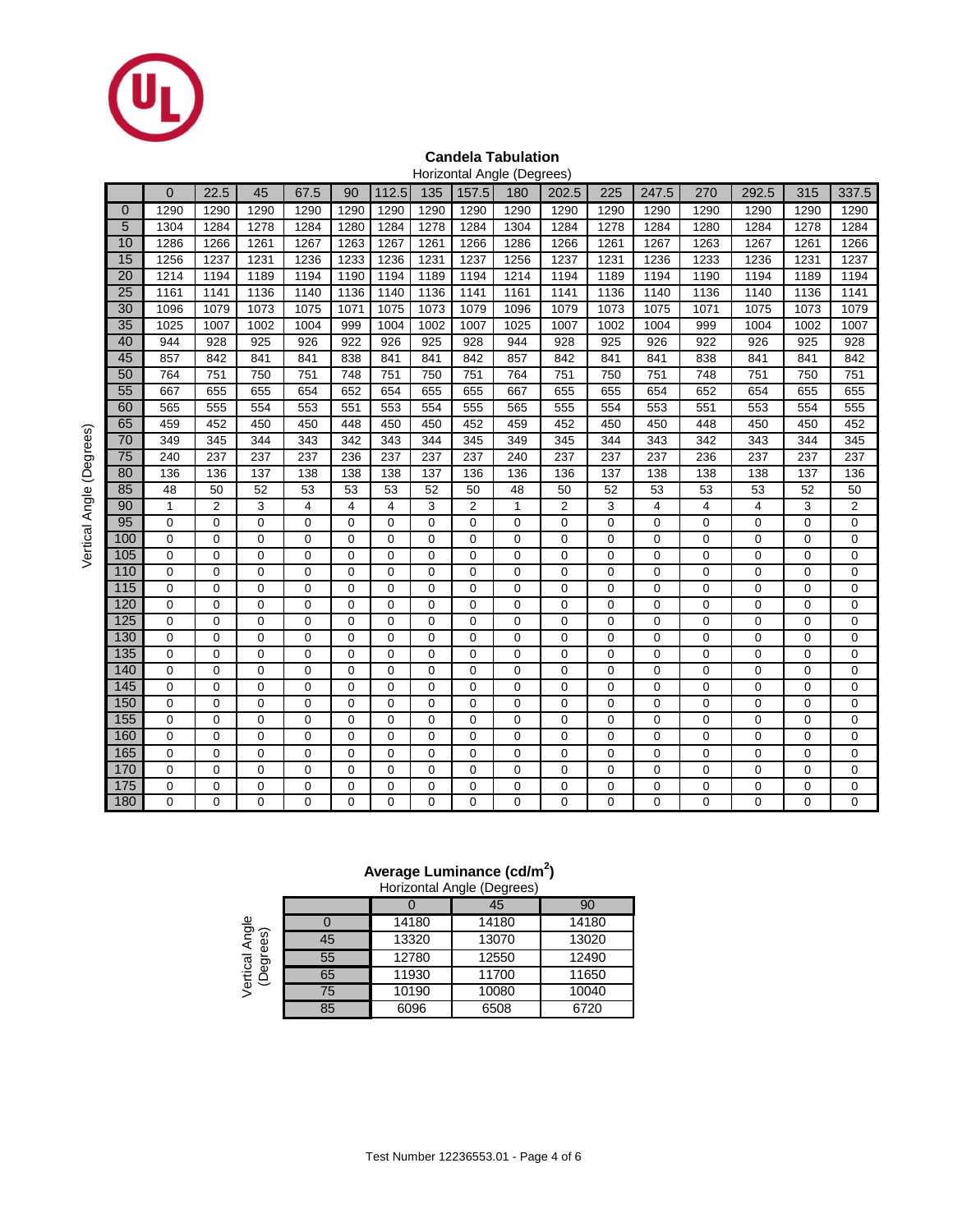

#### **Candela Tabulation**

|                 | Horizontal Angle (Degrees) |                |             |                |                |                |             |                |      |                |                |                |             |             |                |                |
|-----------------|----------------------------|----------------|-------------|----------------|----------------|----------------|-------------|----------------|------|----------------|----------------|----------------|-------------|-------------|----------------|----------------|
|                 | $\overline{0}$             | 22.5           | 45          | 67.5           | 90             | 112.5          | 135         | 157.5          | 180  | 202.5          | 225            | 247.5          | 270         | 292.5       | 315            | 337.5          |
| $\mathbf{0}$    | 1290                       | 1290           | 1290        | 1290           | 1290           | 1290           | 1290        | 1290           | 1290 | 1290           | 1290           | 1290           | 1290        | 1290        | 1290           | 1290           |
| 5               | 1304                       | 1284           | 1278        | 1284           | 1280           | 1284           | 1278        | 1284           | 1304 | 1284           | 1278           | 1284           | 1280        | 1284        | 1278           | 1284           |
| 10              | 1286                       | 1266           | 1261        | 1267           | 1263           | 1267           | 1261        | 1266           | 1286 | 1266           | 1261           | 1267           | 1263        | 1267        | 1261           | 1266           |
| 15              | 1256                       | 1237           | 1231        | 1236           | 1233           | 1236           | 1231        | 1237           | 1256 | 1237           | 1231           | 1236           | 1233        | 1236        | 1231           | 1237           |
| 20              | 1214                       | 1194           | 1189        | 1194           | 1190           | 1194           | 1189        | 1194           | 1214 | 1194           | 1189           | 1194           | 1190        | 1194        | 1189           | 1194           |
| $\overline{25}$ | 1161                       | 1141           | 1136        | 1140           | 1136           | 1140           | 1136        | 1141           | 1161 | 1141           | 1136           | 1140           | 1136        | 1140        | 1136           | 1141           |
| 30              | 1096                       | 1079           | 1073        | 1075           | 1071           | 1075           | 1073        | 1079           | 1096 | 1079           | 1073           | 1075           | 1071        | 1075        | 1073           | 1079           |
| 35              | 1025                       | 1007           | 1002        | 1004           | 999            | 1004           | 1002        | 1007           | 1025 | 1007           | 1002           | 1004           | 999         | 1004        | 1002           | 1007           |
| 40              | 944                        | 928            | 925         | 926            | 922            | 926            | 925         | 928            | 944  | 928            | 925            | 926            | 922         | 926         | 925            | 928            |
| 45              | 857                        | 842            | 841         | 841            | 838            | 841            | 841         | 842            | 857  | 842            | 841            | 841            | 838         | 841         | 841            | 842            |
| 50              | 764                        | 751            | 750         | 751            | 748            | 751            | 750         | 751            | 764  | 751            | 750            | 751            | 748         | 751         | 750            | 751            |
| 55              | 667                        | 655            | 655         | 654            | 652            | 654            | 655         | 655            | 667  | 655            | 655            | 654            | 652         | 654         | 655            | 655            |
| 60              | 565                        | 555            | 554         | 553            | 551            | 553            | 554         | 555            | 565  | 555            | 554            | 553            | 551         | 553         | 554            | 555            |
| 65              | 459                        | 452            | 450         | 450            | 448            | 450            | 450         | 452            | 459  | 452            | 450            | 450            | 448         | 450         | 450            | 452            |
| 70              | 349                        | 345            | 344         | 343            | 342            | 343            | 344         | 345            | 349  | 345            | 344            | 343            | 342         | 343         | 344            | 345            |
| 75              | 240                        | 237            | 237         | 237            | 236            | 237            | 237         | 237            | 240  | 237            | 237            | 237            | 236         | 237         | 237            | 237            |
| 80              | 136                        | 136            | 137         | 138            | 138            | 138            | 137         | 136            | 136  | 136            | 137            | 138            | 138         | 138         | 137            | 136            |
| 85              | 48                         | 50             | 52          | 53             | 53             | 53             | 52          | 50             | 48   | 50             | 52             | 53             | 53          | 53          | 52             | 50             |
| 90              | $\mathbf{1}$               | $\overline{2}$ | 3           | $\overline{4}$ | $\overline{4}$ | 4              | 3           | $\overline{2}$ | 1    | $\sqrt{2}$     | 3              | $\overline{4}$ | 4           | 4           | 3              | $\overline{c}$ |
| 95              | 0                          | $\mathbf 0$    | $\mathbf 0$ | $\mathbf 0$    | $\mathbf 0$    | 0              | $\mathbf 0$ | $\mathbf 0$    | 0    | $\mathbf 0$    | 0              | $\mathbf 0$    | 0           | 0           | 0              | $\mathbf 0$    |
| 100             | 0                          | $\mathbf 0$    | $\Omega$    | $\mathbf 0$    | $\Omega$       | $\Omega$       | $\Omega$    | $\mathbf 0$    | 0    | 0              | $\Omega$       | $\mathbf 0$    | 0           | 0           | 0              | 0              |
| 105             | $\overline{0}$             | $\mathbf 0$    | $\Omega$    | $\overline{0}$ | $\Omega$       | $\overline{0}$ | $\Omega$    | $\overline{0}$ | 0    | $\overline{0}$ | $\overline{0}$ | $\mathbf 0$    | 0           | 0           | $\overline{0}$ | $\overline{0}$ |
| 110             | 0                          | $\mathbf 0$    | $\mathbf 0$ | $\mathbf 0$    | $\mathbf 0$    | $\overline{0}$ | $\mathbf 0$ | $\mathbf 0$    | 0    | $\mathbf 0$    | 0              | $\mathbf 0$    | $\mathbf 0$ | 0           | 0              | $\mathbf 0$    |
| 115             | 0                          | $\mathbf 0$    | $\mathbf 0$ | $\mathbf 0$    | $\Omega$       | 0              | $\Omega$    | $\mathbf 0$    | 0    | $\mathbf 0$    | 0              | $\mathbf 0$    | 0           | 0           | 0              | $\mathbf 0$    |
| 120             | $\mathbf 0$                | $\mathbf 0$    | $\mathbf 0$ | $\mathbf 0$    | $\Omega$       | $\overline{0}$ | $\mathbf 0$ | $\mathbf 0$    | 0    | $\mathbf 0$    | 0              | $\mathbf 0$    | 0           | $\mathsf 0$ | 0              | $\mathbf 0$    |
| 125             | $\overline{0}$             | $\mathbf 0$    | $\mathbf 0$ | $\mathbf 0$    | $\mathbf 0$    | 0              | $\mathbf 0$ | $\mathbf 0$    | 0    | $\mathbf 0$    | 0              | $\mathbf 0$    | 0           | 0           | 0              | $\mathbf 0$    |
| 130             | 0                          | $\mathbf 0$    | $\Omega$    | $\mathbf 0$    | $\Omega$       | 0              | $\Omega$    | $\mathbf 0$    | 0    | $\mathbf 0$    | 0              | $\mathbf 0$    | 0           | 0           | 0              | $\overline{0}$ |
| 135             | 0                          | 0              | $\mathbf 0$ | $\mathbf 0$    | $\mathbf 0$    | 0              | $\mathbf 0$ | $\mathbf 0$    | 0    | $\mathbf 0$    | 0              | $\mathbf 0$    | 0           | 0           | 0              | $\mathbf 0$    |
| 140             | 0                          | $\mathbf 0$    | $\mathbf 0$ | $\mathbf 0$    | $\Omega$       | $\Omega$       | $\Omega$    | $\mathbf 0$    | 0    | $\mathbf 0$    | 0              | $\mathbf 0$    | 0           | 0           | 0              | $\mathbf 0$    |
| 145             | 0                          | $\mathbf 0$    | $\mathbf 0$ | $\mathbf 0$    | $\mathbf 0$    | $\overline{0}$ | $\mathbf 0$ | $\mathbf 0$    | 0    | $\mathbf 0$    | 0              | $\mathbf 0$    | $\mathbf 0$ | 0           | 0              | $\mathbf 0$    |
| 150             | 0                          | $\mathbf 0$    | $\mathbf 0$ | $\mathbf 0$    | $\mathbf 0$    | 0              | $\mathbf 0$ | $\mathbf 0$    | 0    | $\mathbf 0$    | 0              | $\mathbf 0$    | 0           | 0           | 0              | $\mathbf 0$    |
| 155             | 0                          | $\mathbf 0$    | $\Omega$    | $\overline{0}$ | $\Omega$       | $\Omega$       | $\Omega$    | $\overline{0}$ | 0    | 0              | $\Omega$       | $\mathbf 0$    | 0           | 0           | 0              | $\mathbf 0$    |
| 160             | 0                          | $\mathbf 0$    | $\mathbf 0$ | $\mathbf 0$    | $\mathbf 0$    | $\overline{0}$ | $\mathbf 0$ | $\overline{0}$ | 0    | $\overline{0}$ | 0              | $\mathbf 0$    | 0           | 0           | 0              | $\mathbf 0$    |
| 165             | 0                          | $\mathbf 0$    | $\mathbf 0$ | $\mathbf 0$    | $\mathbf 0$    | 0              | $\mathbf 0$ | $\mathbf 0$    | 0    | $\mathbf 0$    | 0              | $\mathbf 0$    | 0           | 0           | 0              | $\mathbf 0$    |
| 170             | 0                          | $\mathbf 0$    | $\Omega$    | $\mathbf 0$    | $\Omega$       | $\Omega$       | $\Omega$    | $\Omega$       | 0    | $\mathbf 0$    | 0              | $\mathbf 0$    | 0           | 0           | 0              | $\mathbf 0$    |
| 175             | 0                          | $\mathbf 0$    | $\mathbf 0$ | $\mathbf 0$    | $\mathbf 0$    | $\overline{0}$ | $\mathbf 0$ | $\mathbf 0$    | 0    | $\mathbf 0$    | 0              | $\mathbf 0$    | 0           | 0           | 0              | $\mathbf 0$    |
| 180             | 0                          | $\mathbf 0$    | 0           | 0              | 0              | 0              | 0           | $\mathbf 0$    | 0    | $\mathbf 0$    | 0              | 0              | 0           | 0           | 0              | $\mathbf 0$    |

#### **Average Luminance (cd/m<sup>2</sup> )**

|                    |    |       | Horizontal Angle (Degrees) |       |
|--------------------|----|-------|----------------------------|-------|
|                    |    |       | 45                         | 90    |
|                    |    | 14180 | 14180                      | 14180 |
| Angle<br>ses)<br>Ë | 45 | 13320 | 13070                      | 13020 |
| ğ                  | 55 | 12780 | 12550                      | 12490 |
| Vertical<br>(Degre | 65 | 11930 | 11700                      | 11650 |
|                    | 75 | 10190 | 10080                      | 10040 |
|                    | 85 | 6096  | 6508                       | 6720  |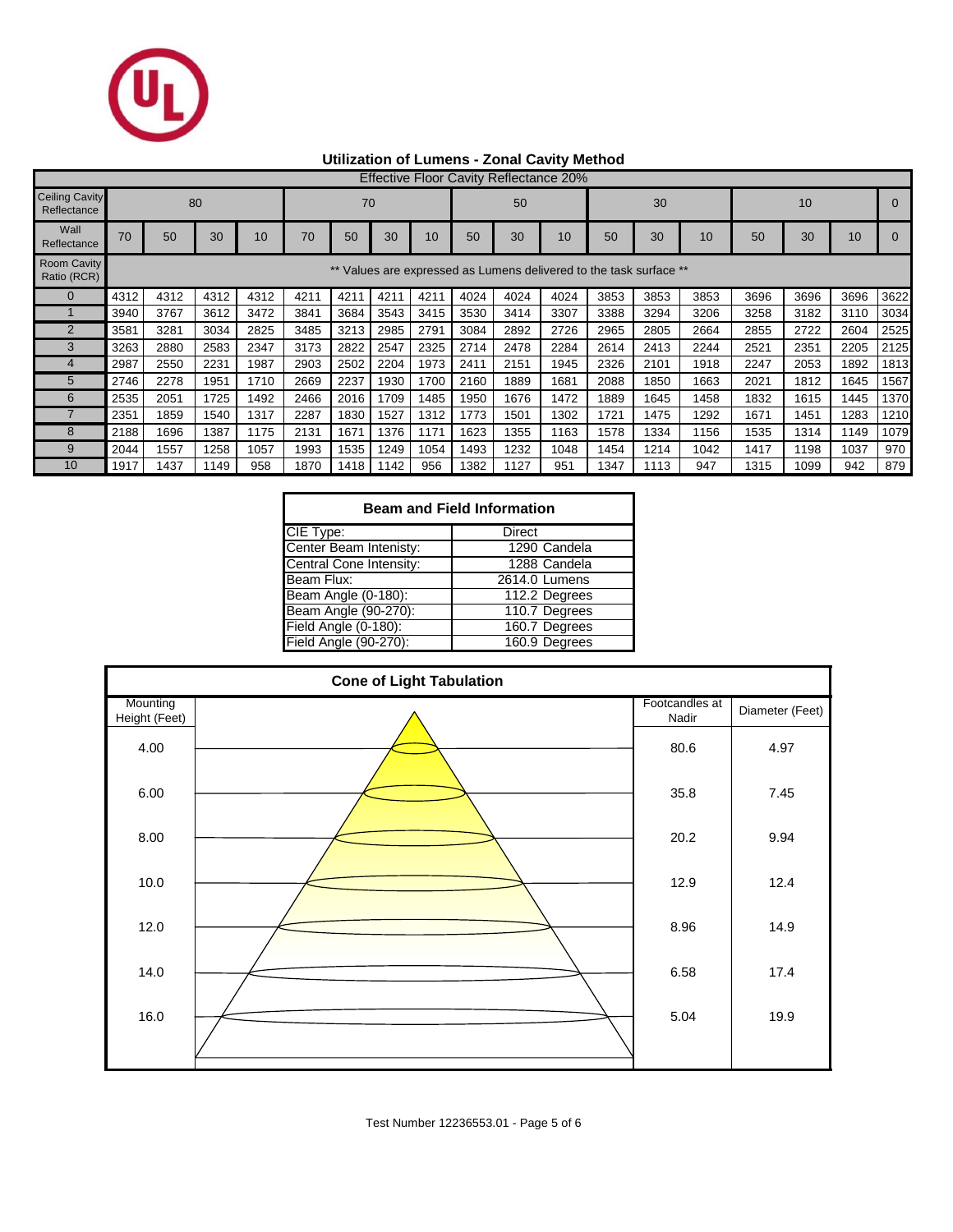

## **Utilization of Lumens - Zonal Cavity Method**

| <b>Effective Floor Cavity Reflectance 20%</b> |      |      |      |      |      |      |      |      |      |                                                                 |      |      |      |      |      |      |      |      |
|-----------------------------------------------|------|------|------|------|------|------|------|------|------|-----------------------------------------------------------------|------|------|------|------|------|------|------|------|
| <b>Ceiling Cavity</b><br>Reflectance          |      |      | 80   |      |      | 70   |      |      |      | 50                                                              |      |      | 30   |      |      | 10   |      |      |
| Wall<br>Reflectance                           | 70   | 50   | 30   | 10   | 70   | 50   | 30   | 10   | 50   | 30                                                              | 10   | 50   | 30   | 10   | 50   | 30   | 10   |      |
| <b>Room Cavity</b><br>Ratio (RCR)             |      |      |      |      |      |      |      |      |      | Values are expressed as Lumens delivered to the task surface ** |      |      |      |      |      |      |      |      |
| $\Omega$                                      | 4312 | 4312 | 4312 | 4312 | 4211 | 4211 | 4211 | 4211 | 4024 | 4024                                                            | 4024 | 3853 | 3853 | 3853 | 3696 | 3696 | 3696 | 3622 |
|                                               | 3940 | 3767 | 3612 | 3472 | 3841 | 3684 | 3543 | 3415 | 3530 | 3414                                                            | 3307 | 3388 | 3294 | 3206 | 3258 | 3182 | 3110 | 3034 |
| $\overline{2}$                                | 3581 | 3281 | 3034 | 2825 | 3485 | 3213 | 2985 | 2791 | 3084 | 2892                                                            | 2726 | 2965 | 2805 | 2664 | 2855 | 2722 | 2604 | 2525 |
| 3                                             | 3263 | 2880 | 2583 | 2347 | 3173 | 2822 | 2547 | 2325 | 2714 | 2478                                                            | 2284 | 2614 | 2413 | 2244 | 2521 | 2351 | 2205 | 2125 |
|                                               | 2987 | 2550 | 2231 | 1987 | 2903 | 2502 | 2204 | 1973 | 2411 | 2151                                                            | 1945 | 2326 | 2101 | 1918 | 2247 | 2053 | 1892 | 1813 |
| 5                                             | 2746 | 2278 | 1951 | 1710 | 2669 | 2237 | 1930 | 1700 | 2160 | 1889                                                            | 1681 | 2088 | 1850 | 1663 | 2021 | 1812 | 1645 | 1567 |
| 6                                             | 2535 | 2051 | 1725 | 1492 | 2466 | 2016 | 1709 | 1485 | 1950 | 1676                                                            | 1472 | 1889 | 1645 | 1458 | 1832 | 1615 | 1445 | 1370 |
|                                               | 2351 | 1859 | 1540 | 1317 | 2287 | 1830 | 1527 | 1312 | 1773 | 1501                                                            | 1302 | 1721 | 1475 | 1292 | 1671 | 1451 | 1283 | 1210 |
| 8                                             | 2188 | 1696 | 1387 | 1175 | 2131 | 1671 | 1376 | 1171 | 1623 | 1355                                                            | 1163 | 1578 | 1334 | 1156 | 1535 | 1314 | 1149 | 1079 |
| 9                                             | 2044 | 1557 | 1258 | 1057 | 1993 | 1535 | 1249 | 1054 | 1493 | 1232                                                            | 1048 | 1454 | 1214 | 1042 | 1417 | 1198 | 1037 | 970  |
| 10                                            | 1917 | 1437 | 1149 | 958  | 1870 | 1418 | 1142 | 956  | 1382 | 127                                                             | 951  | 1347 | 1113 | 947  | 1315 | 1099 | 942  | 879  |

| <b>Beam and Field Information</b> |               |  |  |  |  |  |  |
|-----------------------------------|---------------|--|--|--|--|--|--|
| CIE Type:                         | Direct        |  |  |  |  |  |  |
| Center Beam Intenisty:            | 1290 Candela  |  |  |  |  |  |  |
| Central Cone Intensity:           | 1288 Candela  |  |  |  |  |  |  |
| Beam Flux:                        | 2614.0 Lumens |  |  |  |  |  |  |
| Beam Angle (0-180):               | 112.2 Degrees |  |  |  |  |  |  |
| Beam Angle (90-270):              | 110.7 Degrees |  |  |  |  |  |  |
| Field Angle (0-180):              | 160.7 Degrees |  |  |  |  |  |  |
| Field Angle (90-270):             | 160.9 Degrees |  |  |  |  |  |  |